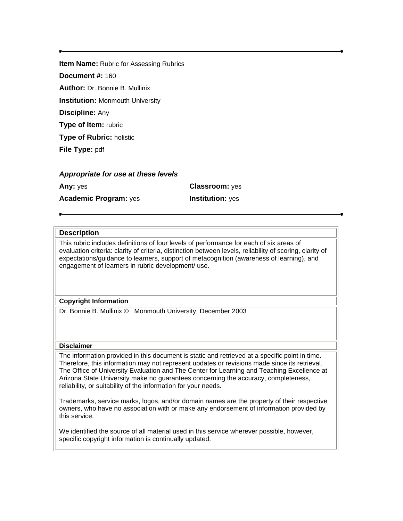**Item Name:** Rubric for Assessing Rubrics

**Document #:** 160

**Author:** Dr. Bonnie B. Mullinix

**Institution:** Monmouth University

**Discipline:** Any

**Type of Item:** rubric

**Type of Rubric:** holistic

**File Type:** pdf

# *Appropriate for use at these levels*

**Any:** yes **Classroom:** yes **Academic Program:** yes **Institution:** yes

# **Description**

This rubric includes definitions of four levels of performance for each of six areas of evaluation criteria: clarity of criteria, distinction between levels, reliability of scoring, clarity of expectations/guidance to learners, support of metacognition (awareness of learning), and engagement of learners in rubric development/ use.

### **Copyright Information**

Dr. Bonnie B. Mullinix © Monmouth University, December 2003

### **Disclaimer**

The information provided in this document is static and retrieved at a specific point in time. Therefore, this information may not represent updates or revisions made since its retrieval. The Office of University Evaluation and The Center for Learning and Teaching Excellence at Arizona State University make no guarantees concerning the accuracy, completeness, reliability, or suitability of the information for your needs.

Trademarks, service marks, logos, and/or domain names are the property of their respective owners, who have no association with or make any endorsement of information provided by this service.

We identified the source of all material used in this service wherever possible, however, specific copyright information is continually updated.